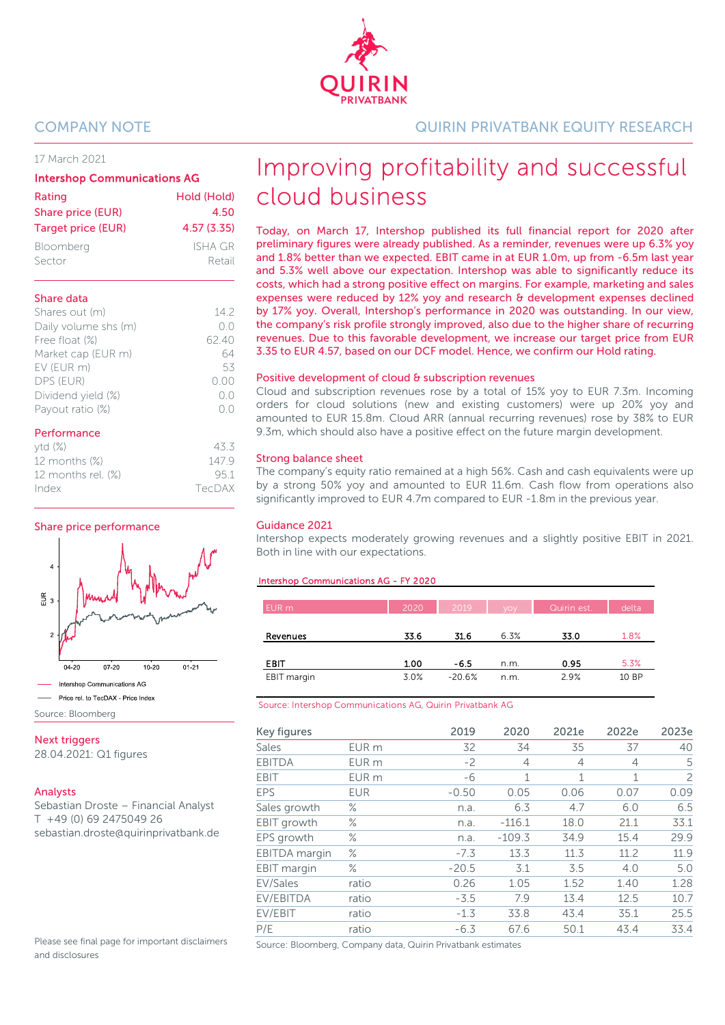## 17 March 2021

#### Intershop Communications AG

| Rating                    | Hold (Hold) |
|---------------------------|-------------|
| Share price (EUR)         | 4.50        |
| <b>Target price (EUR)</b> | 4.57(3.35)  |
| Bloomberg                 | ISHA GR     |
| Sector                    | Retail      |

## Share data

| Shares out (m)       | 142    |
|----------------------|--------|
| Daily volume shs (m) | (0.0)  |
| Free float (%)       | 62.40  |
| Market cap (EUR m)   |        |
| EV (EUR m)           | 53     |
| DPS (EUR)            | (1.00) |
| Dividend yield (%)   | ()()   |
| Payout ratio (%)     |        |
|                      |        |

## Performance

| ytd(%)                | 433    |
|-----------------------|--------|
| 12 months (%)         | 1479   |
| 12 months rel. $(\%)$ | 951    |
| Index                 | TecDAX |
|                       |        |

## Share price performance



Source: Bloomberg

**Next triggers** 

28.04.2021: Q1 figures

## Analysts

Sebastian Droste – Financial Analyst T +49 (0) 69 2475049 26 sebastian.droste@quirinprivatbank.de

Please see final page for important disclaimers and disclosures

COMPANY NOTE QUIRIN PRIVATBANK EQUITY RESEARCH

# Improving profitability and successful cloud business

Today, on March 17, Intershop published its full financial report for 2020 after preliminary figures were already published. As a reminder, revenues were up 6.3% yoy and 1.8% better than we expected. EBIT came in at EUR 1.0m, up from -6.5m last year and 5.3% well above our expectation. Intershop was able to significantly reduce its costs, which had a strong positive effect on margins. For example, marketing and sales expenses were reduced by 12% yoy and research & development expenses declined by 17% yoy. Overall, Intershop's performance in 2020 was outstanding. In our view, the company's risk profile strongly improved, also due to the higher share of recurring revenues. Due to this favorable development, we increase our target price from EUR 3.35 to EUR 4.57, based on our DCF model. Hence, we confirm our Hold rating.

## Positive development of cloud & subscription revenues

Cloud and subscription revenues rose by a total of 15% yoy to EUR 7.3m. Incoming orders for cloud solutions (new and existing customers) were up 20% yoy and amounted to EUR 15.8m. Cloud ARR (annual recurring revenues) rose by 38% to EUR 9.3m, which should also have a positive effect on the future margin development.

## Strong balance sheet

The company's equity ratio remained at a high 56%. Cash and cash equivalents were up by a strong 50% yoy and amounted to EUR 11.6m. Cash flow from operations also significantly improved to EUR 4.7m compared to EUR -1.8m in the previous year.

## Guidance 2021

Intershop expects moderately growing revenues and a slightly positive EBIT in 2021. Both in line with our expectations.

## rshop Communications AG - FY 2020

| EUR m       | 2020 | 2019     | <b>VOV</b> | Quirin est. | delta |
|-------------|------|----------|------------|-------------|-------|
|             |      |          |            |             |       |
| Revenues    | 33.6 | 31.6     | 6.3%       | 33.0        | 1.8%  |
|             |      |          |            |             |       |
| EBIT        | 1.00 | $-6.5$   | n.m.       | 0.95        | 5.3%  |
| EBIT margin | 3.0% | $-20.6%$ | n.m.       | 2.9%        | 10 BP |

#### Source: Intershop Communications AG, Quirin Privatbank AG

| Key figures          |                  | 2019    | 2020           | 2021e          | 2022e        | 2023e          |
|----------------------|------------------|---------|----------------|----------------|--------------|----------------|
| Sales                | EUR m            | 32      | 34             | 35             | 37           | 40             |
| <b>EBITDA</b>        | EUR <sub>m</sub> | $-2$    | $\overline{4}$ | $\overline{4}$ | 4            | 5              |
| <b>EBIT</b>          | EUR <sub>m</sub> | -6      | $\mathbf{1}$   | 1              | $\mathbf{1}$ | $\overline{c}$ |
| <b>EPS</b>           | <b>EUR</b>       | $-0.50$ | 0.05           | 0.06           | 0.07         | 0.09           |
| Sales growth         | ℅                | n.a.    | 6.3            | 4.7            | 6.0          | 6.5            |
| EBIT growth          | $\%$             | n.a.    | $-116.1$       | 18.0           | 21.1         | 33.1           |
| EPS growth           | ℅                | n.a.    | $-109.3$       | 34.9           | 15.4         | 29.9           |
| <b>EBITDA</b> margin | $\%$             | $-7.3$  | 13.3           | 11.3           | 11.2         | 11.9           |
| EBIT margin          | $\%$             | $-20.5$ | 3.1            | 3.5            | 4.0          | 5.0            |
| EV/Sales             | ratio            | 0.26    | 1.05           | 1.52           | 1.40         | 1.28           |
| EV/EBITDA            | ratio            | $-3.5$  | 7.9            | 13.4           | 12.5         | 10.7           |
| EV/EBIT              | ratio            | $-1.3$  | 33.8           | 43.4           | 35.1         | 25.5           |
| P/E                  | ratio            | $-6.3$  | 67.6           | 50.1           | 43.4         | 33.4           |

Source: Bloomberg, Company data, Quirin Privatbank estimates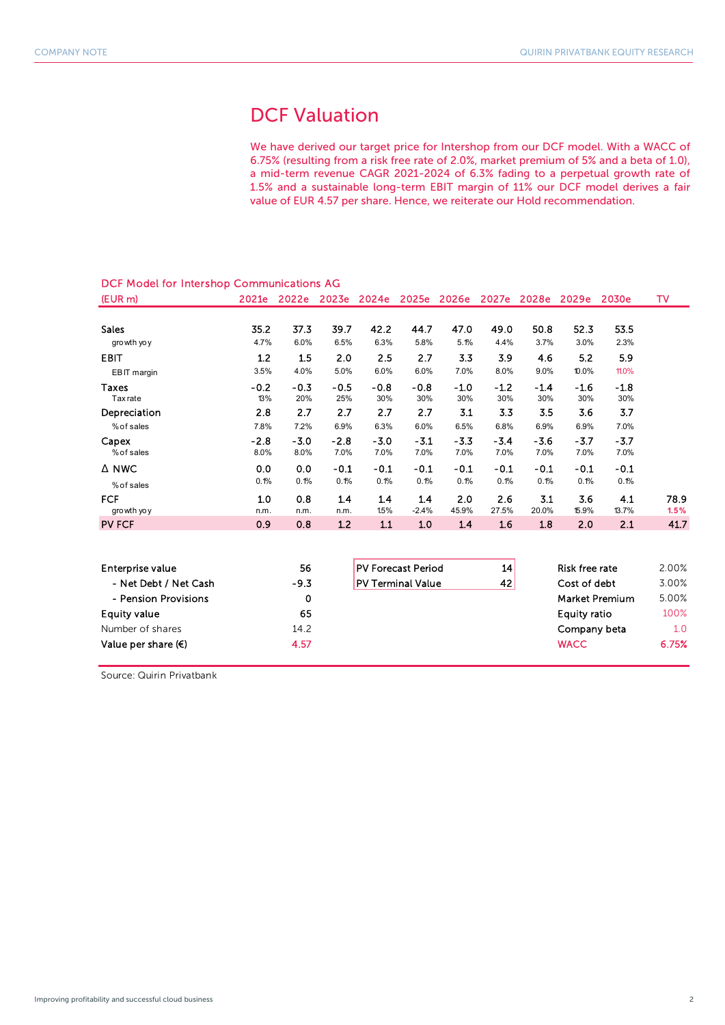# DCF Valuation

We have derived our target price for Intershop from our DCF model. With a WACC of 6.75% (resulting from a risk free rate of 2.0%, market premium of 5% and a beta of 1.0), a mid-term revenue CAGR 2021-2024 of 6.3% fading to a perpetual growth rate of 1.5% and a sustainable long-term EBIT margin of 11% our DCF model derives a fair value of EUR 4.57 per share. Hence, we reiterate our Hold recommendation.

| . <u>.</u>      |        |        |        |        |                   |        |        |        |        |        |      |
|-----------------|--------|--------|--------|--------|-------------------|--------|--------|--------|--------|--------|------|
| (EUR m)         | 2021e  | 2022e  | 2023e  |        | 2024e 2025e 2026e |        | 2027e  | 2028e  | 2029e  | 2030e  | TV   |
|                 |        |        |        |        |                   |        |        |        |        |        |      |
| <b>Sales</b>    | 35.2   | 37.3   | 39.7   | 42.2   | 44.7              | 47.0   | 49.0   | 50.8   | 52.3   | 53.5   |      |
| growth yo y     | 4.7%   | 6.0%   | 6.5%   | 6.3%   | 5.8%              | 5.1%   | 4.4%   | 3.7%   | 3.0%   | 2.3%   |      |
| <b>EBIT</b>     | 1.2    | 1.5    | 2.0    | 2.5    | 2.7               | 3.3    | 3.9    | 4.6    | 5.2    | 5.9    |      |
| EBIT margin     | 3.5%   | 4.0%   | 5.0%   | 6.0%   | 6.0%              | 7.0%   | 8.0%   | 9.0%   | 10.0%  | 11.0%  |      |
| Taxes           | $-0.2$ | $-0.3$ | $-0.5$ | $-0.8$ | $-0.8$            | $-1.0$ | $-1.2$ | $-1.4$ | $-1.6$ | $-1.8$ |      |
| <b>Tax</b> rate | 13%    | 20%    | 25%    | 30%    | 30%               | 30%    | 30%    | 30%    | 30%    | 30%    |      |
| Depreciation    | 2.8    | 2.7    | 2.7    | 2.7    | 2.7               | 3.1    | 3.3    | 3.5    | 3.6    | 3.7    |      |
| % of sales      | 7.8%   | 7.2%   | 6.9%   | 6.3%   | 6.0%              | 6.5%   | 6.8%   | 6.9%   | 6.9%   | 7.0%   |      |
| Capex           | $-2.8$ | $-3.0$ | $-2.8$ | $-3.0$ | $-3.1$            | $-3.3$ | $-3.4$ | $-3.6$ | $-3.7$ | $-3.7$ |      |
| % of sales      | 8.0%   | 8.0%   | 7.0%   | 7.0%   | 7.0%              | 7.0%   | 7.0%   | 7.0%   | 7.0%   | 7.0%   |      |
| $\Delta$ NWC    | 0.0    | 0.0    | $-0.1$ | $-0.1$ | -0.1              | $-0.1$ | $-0.1$ | $-0.1$ | $-0.1$ | $-0.1$ |      |
| % of sales      | 0.1%   | 0.1%   | 0.1%   | 0.1%   | 0.1%              | 0.1%   | 0.1%   | 0.1%   | 0.1%   | 0.1%   |      |
| <b>FCF</b>      | 1.0    | 0.8    | 1.4    | 1.4    | 1.4               | 2.0    | 2.6    | 3.1    | 3.6    | 4.1    | 78.9 |
| growth yo y     | n.m.   | n.m.   | n.m.   | 1.5%   | $-2.4%$           | 45.9%  | 27.5%  | 20.0%  | 15.9%  | 13.7%  | 1.5% |
| <b>PV FCF</b>   | 0.9    | 0.8    | 1.2    | 1.1    | 1.0               | 1.4    | 1.6    | 1.8    | 2.0    | 2.1    | 41.7 |
|                 |        |        |        |        |                   |        |        |        |        |        |      |

## DCF Model for Intershop Communications AG

| Enterprise value             | 56     | <b>PV Forecast Period</b> | 14 <sup>1</sup> | Risk free rate        | 2.00% |
|------------------------------|--------|---------------------------|-----------------|-----------------------|-------|
| - Net Debt / Net Cash        | $-9.3$ | <b>PV Terminal Value</b>  | 42              | Cost of debt          | 3.00% |
| - Pension Provisions         | 0      |                           |                 | <b>Market Premium</b> | 5.00% |
| Equity value                 | 65     |                           |                 | <b>Equity ratio</b>   | 100%  |
| Number of shares             | 14.2   |                           |                 | Company beta          | 1.0   |
| Value per share $(\epsilon)$ | 4.57   |                           |                 | <b>WACC</b>           | 6.75% |

Source: Quirin Privatbank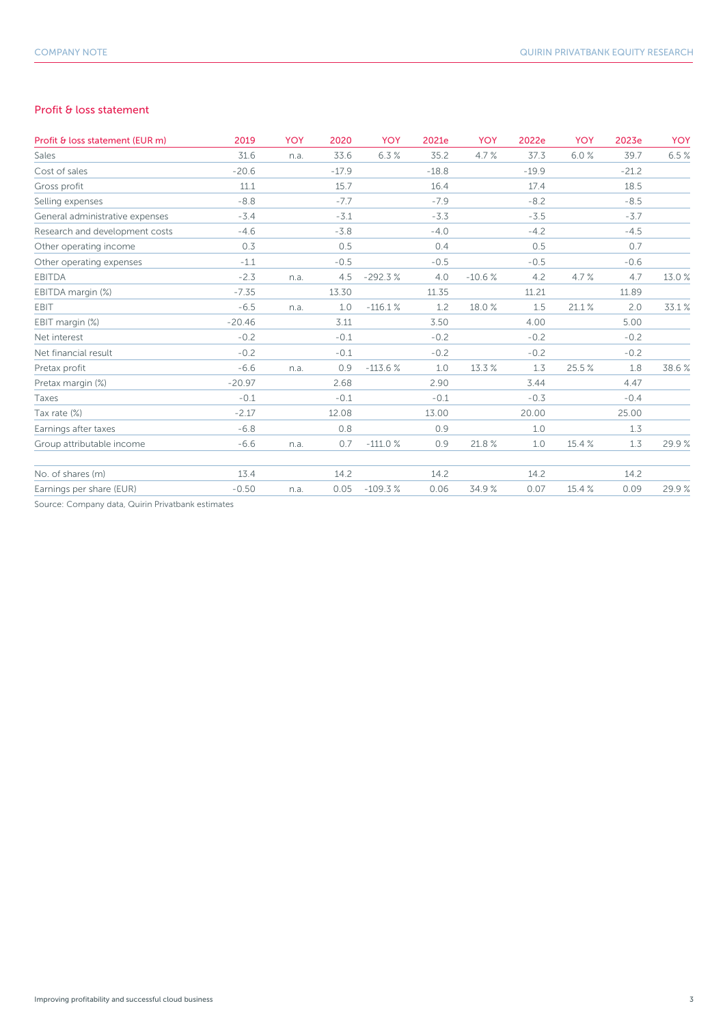## Profit & loss statement

| Profit & loss statement (EUR m)                  | 2019     | <b>YOY</b> | 2020    | <b>YOY</b> | 2021e   | <b>YOY</b> | 2022e   | <b>YOY</b> | 2023e   | <b>YOY</b> |
|--------------------------------------------------|----------|------------|---------|------------|---------|------------|---------|------------|---------|------------|
| Sales                                            | 31.6     | n.a.       | 33.6    | 6.3%       | 35.2    | 4.7%       | 37.3    | 6.0%       | 39.7    | 6.5%       |
| Cost of sales                                    | $-20.6$  |            | $-17.9$ |            | $-18.8$ |            | $-19.9$ |            | $-21.2$ |            |
| Gross profit                                     | 11.1     |            | 15.7    |            | 16.4    |            | 17.4    |            | 18.5    |            |
| Selling expenses                                 | $-8.8$   |            | $-7.7$  |            | $-7.9$  |            | $-8.2$  |            | $-8.5$  |            |
| General administrative expenses                  | $-3.4$   |            | $-3.1$  |            | $-3.3$  |            | $-3.5$  |            | $-3.7$  |            |
| Research and development costs                   | $-4.6$   |            | $-3.8$  |            | $-4.0$  |            | $-4.2$  |            | $-4.5$  |            |
| Other operating income                           | 0.3      |            | 0.5     |            | 0.4     |            | 0.5     |            | 0.7     |            |
| Other operating expenses                         | $-1.1$   |            | $-0.5$  |            | $-0.5$  |            | $-0.5$  |            | $-0.6$  |            |
| <b>EBITDA</b>                                    | $-2.3$   | n.a.       | 4.5     | $-292.3%$  | 4.0     | $-10.6%$   | 4.2     | 4.7%       | 4.7     | 13.0%      |
| EBITDA margin (%)                                | $-7.35$  |            | 13.30   |            | 11.35   |            | 11.21   |            | 11.89   |            |
| <b>EBIT</b>                                      | $-6.5$   | n.a.       | 1.0     | $-116.1%$  | 1.2     | 18.0 %     | 1.5     | 21.1 %     | 2.0     | 33.1%      |
| EBIT margin (%)                                  | $-20.46$ |            | 3.11    |            | 3.50    |            | 4.00    |            | 5.00    |            |
| Net interest                                     | $-0.2$   |            | $-0.1$  |            | $-0.2$  |            | $-0.2$  |            | $-0.2$  |            |
| Net financial result                             | $-0.2$   |            | $-0.1$  |            | $-0.2$  |            | $-0.2$  |            | $-0.2$  |            |
| Pretax profit                                    | $-6.6$   | n.a.       | 0.9     | $-113.6%$  | 1.0     | 13.3 %     | 1.3     | 25.5%      | 1.8     | 38.6%      |
| Pretax margin (%)                                | $-20.97$ |            | 2.68    |            | 2.90    |            | 3.44    |            | 4.47    |            |
| Taxes                                            | $-0.1$   |            | $-0.1$  |            | $-0.1$  |            | $-0.3$  |            | $-0.4$  |            |
| Tax rate (%)                                     | $-2.17$  |            | 12.08   |            | 13.00   |            | 20.00   |            | 25.00   |            |
| Earnings after taxes                             | $-6.8$   |            | 0.8     |            | 0.9     |            | 1.0     |            | 1.3     |            |
| Group attributable income                        | $-6.6$   | n.a.       | 0.7     | $-111.0%$  | 0.9     | 21.8%      | 1.0     | 15.4 %     | 1.3     | 29.9%      |
| No. of shares (m)                                | 13.4     |            | 14.2    |            | 14.2    |            | 14.2    |            | 14.2    |            |
| Earnings per share (EUR)                         | $-0.50$  | n.a.       | 0.05    | $-109.3%$  | 0.06    | 34.9%      | 0.07    | 15.4 %     | 0.09    | 29.9%      |
| Source: Company data Quirin Privathank estimates |          |            |         |            |         |            |         |            |         |            |

Source: Company data, Quirin Privatbank estimates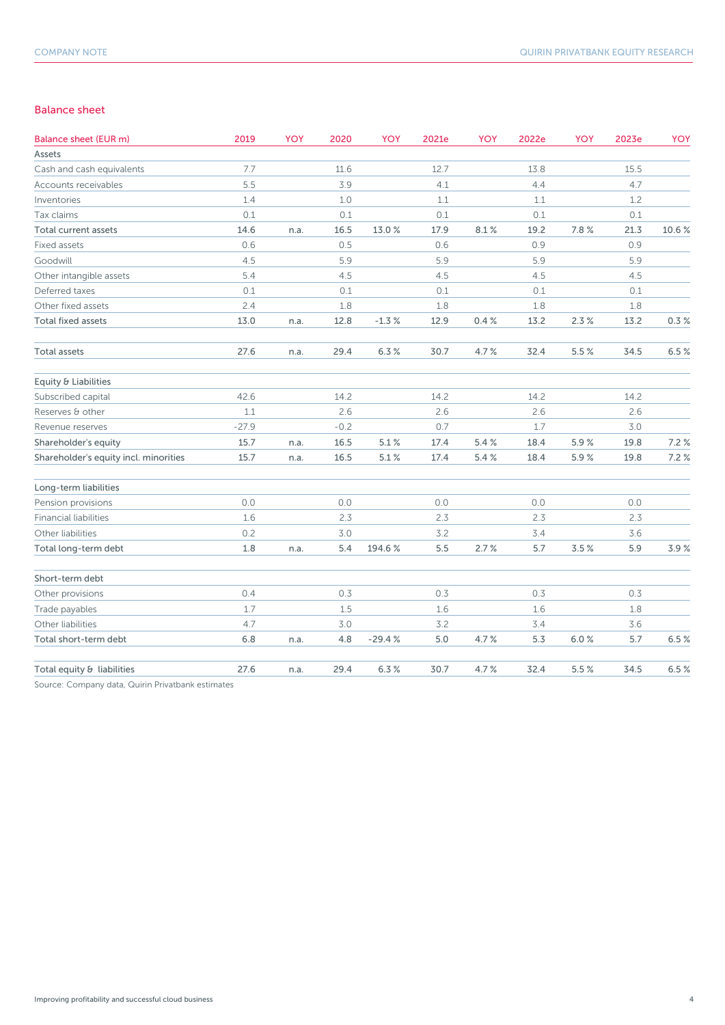## Balance sheet

| Balance sheet (EUR m)                 | 2019    | <b>YOY</b> | 2020   | YOY      | 2021e | YOY  | 2022e   | <b>YOY</b> | 2023e | YOY   |
|---------------------------------------|---------|------------|--------|----------|-------|------|---------|------------|-------|-------|
| Assets                                |         |            |        |          |       |      |         |            |       |       |
| Cash and cash equivalents             | 7.7     |            | 11.6   |          | 12.7  |      | 13.8    |            | 15.5  |       |
| Accounts receivables                  | 5.5     |            | 3.9    |          | 4.1   |      | 4.4     |            | 4.7   |       |
| Inventories                           | 1.4     |            | $1.0$  |          | 1.1   |      | $1.1\,$ |            | 1.2   |       |
| Tax claims                            | 0.1     |            | 0.1    |          | 0.1   |      | 0.1     |            | 0.1   |       |
| <b>Total current assets</b>           | 14.6    | n.a.       | 16.5   | 13.0%    | 17.9  | 8.1% | 19.2    | 7.8%       | 21.3  | 10.6% |
| Fixed assets                          | 0.6     |            | 0.5    |          | 0.6   |      | 0.9     |            | 0.9   |       |
| Goodwill                              | 4.5     |            | 5.9    |          | 5.9   |      | 5.9     |            | 5.9   |       |
| Other intangible assets               | 5.4     |            | 4.5    |          | 4.5   |      | 4.5     |            | 4.5   |       |
| Deferred taxes                        | 0.1     |            | 0.1    |          | 0.1   |      | 0.1     |            | 0.1   |       |
| Other fixed assets                    | 2.4     |            | 1.8    |          | 1.8   |      | 1.8     |            | 1.8   |       |
| Total fixed assets                    | 13.0    | n.a.       | 12.8   | $-1.3%$  | 12.9  | 0.4% | 13.2    | 2.3%       | 13.2  | 0.3%  |
| <b>Total assets</b>                   | 27.6    | n.a.       | 29.4   | 6.3%     | 30.7  | 4.7% | 32.4    | 5.5%       | 34.5  | 6.5%  |
| Equity & Liabilities                  |         |            |        |          |       |      |         |            |       |       |
| Subscribed capital                    | 42.6    |            | 14.2   |          | 14.2  |      | 14.2    |            | 14.2  |       |
| Reserves & other                      | 1.1     |            | 2.6    |          | 2.6   |      | 2.6     |            | 2.6   |       |
| Revenue reserves                      | $-27.9$ |            | $-0.2$ |          | 0.7   |      | 1.7     |            | $3.0$ |       |
| Shareholder's equity                  | 15.7    | n.a.       | 16.5   | 5.1%     | 17.4  | 5.4% | 18.4    | 5.9%       | 19.8  | 7.2%  |
| Shareholder's equity incl. minorities | 15.7    | n.a.       | 16.5   | 5.1%     | 17.4  | 5.4% | 18.4    | 5.9%       | 19.8  | 7.2%  |
| Long-term liabilities                 |         |            |        |          |       |      |         |            |       |       |
| Pension provisions                    | 0.0     |            | 0.0    |          | 0.0   |      | 0.0     |            | 0.0   |       |
| <b>Financial liabilities</b>          | 1.6     |            | 2.3    |          | 2.3   |      | 2.3     |            | 2.3   |       |
| Other liabilities                     | 0.2     |            | 3.0    |          | 3.2   |      | 3.4     |            | 3.6   |       |
| Total long-term debt                  | 1.8     | n.a.       | 5.4    | 194.6%   | 5.5   | 2.7% | 5.7     | 3.5%       | 5.9   | 3.9%  |
| Short-term debt                       |         |            |        |          |       |      |         |            |       |       |
| Other provisions                      | 0.4     |            | 0.3    |          | 0.3   |      | 0.3     |            | 0.3   |       |
| Trade payables                        | 1.7     |            | 1.5    |          | 1.6   |      | 1.6     |            | 1.8   |       |
| Other liabilities                     | 4.7     |            | 3.0    |          | 3.2   |      | 3.4     |            | 3.6   |       |
| Total short-term debt                 | 6.8     | n.a.       | 4.8    | $-29.4%$ | 5.0   | 4.7% | 5.3     | 6.0%       | 5.7   | 6.5%  |
| Total equity & liabilities            | 27.6    | n.a.       | 29.4   | 6.3%     | 30.7  | 4.7% | 32.4    | 5.5%       | 34.5  | 6.5%  |
|                                       |         |            |        |          |       |      |         |            |       |       |

Source: Company data, Quirin Privatbank estimates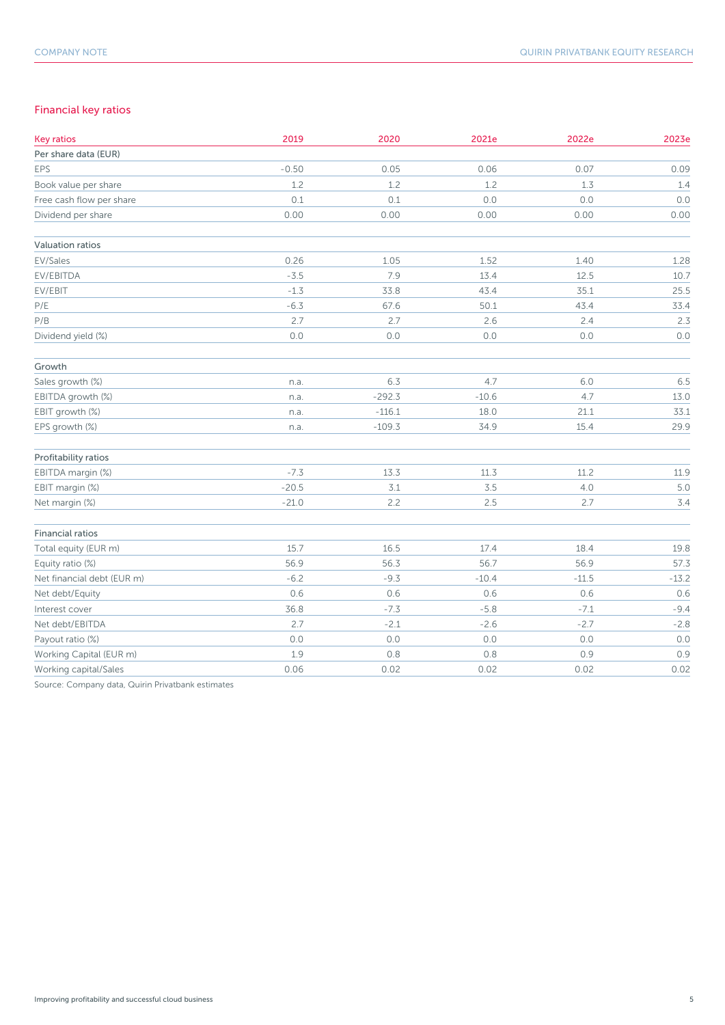## Financial key ratios

| <b>Key ratios</b>          | 2019    | 2020     | 2021e   | 2022e   | 2023e   |
|----------------------------|---------|----------|---------|---------|---------|
| Per share data (EUR)       |         |          |         |         |         |
| EPS                        | $-0.50$ | 0.05     | 0.06    | 0.07    | 0.09    |
| Book value per share       | 1.2     | 1.2      | 1.2     | 1.3     | 1.4     |
| Free cash flow per share   | 0.1     | 0.1      | $0.0$   | $0.0\,$ | 0.0     |
| Dividend per share         | 0.00    | 0.00     | 0.00    | 0.00    | 0.00    |
| Valuation ratios           |         |          |         |         |         |
| EV/Sales                   | 0.26    | 1.05     | 1.52    | 1.40    | 1.28    |
| EV/EBITDA                  | $-3.5$  | 7.9      | 13.4    | 12.5    | 10.7    |
| EV/EBIT                    | $-1.3$  | 33.8     | 43.4    | 35.1    | 25.5    |
| P/E                        | $-6.3$  | 67.6     | 50.1    | 43.4    | 33.4    |
| P/B                        | 2.7     | 2.7      | 2.6     | 2.4     | 2.3     |
| Dividend yield (%)         | $0.0$   | $0.0$    | $0.0$   | 0.0     | 0.0     |
| Growth                     |         |          |         |         |         |
| Sales growth (%)           | n.a.    | 6.3      | 4.7     | $6.0$   | 6.5     |
| EBITDA growth (%)          | n.a.    | $-292.3$ | $-10.6$ | 4.7     | 13.0    |
| EBIT growth (%)            | n.a.    | $-116.1$ | 18.0    | 21.1    | 33.1    |
| EPS growth (%)             | n.a.    | $-109.3$ | 34.9    | 15.4    | 29.9    |
| Profitability ratios       |         |          |         |         |         |
| EBITDA margin (%)          | $-7.3$  | 13.3     | 11.3    | 11.2    | 11.9    |
| EBIT margin (%)            | $-20.5$ | 3.1      | 3.5     | $4.0\,$ | 5.0     |
| Net margin (%)             | $-21.0$ | 2.2      | 2.5     | 2.7     | 3.4     |
| Financial ratios           |         |          |         |         |         |
| Total equity (EUR m)       | 15.7    | 16.5     | 17.4    | 18.4    | 19.8    |
| Equity ratio (%)           | 56.9    | 56.3     | 56.7    | 56.9    | 57.3    |
| Net financial debt (EUR m) | $-6.2$  | $-9.3$   | $-10.4$ | $-11.5$ | $-13.2$ |
| Net debt/Equity            | 0.6     | 0.6      | 0.6     | 0.6     | 0.6     |
| Interest cover             | 36.8    | $-7.3$   | $-5.8$  | $-7.1$  | $-9.4$  |
| Net debt/EBITDA            | 2.7     | $-2.1$   | $-2.6$  | $-2.7$  | $-2.8$  |
| Payout ratio (%)           | 0.0     | $0.0$    | 0.0     | 0.0     | 0.0     |
| Working Capital (EUR m)    | 1.9     | 0.8      | 0.8     | 0.9     | 0.9     |
| Working capital/Sales      | 0.06    | 0.02     | 0.02    | 0.02    | 0.02    |

Source: Company data, Quirin Privatbank estimates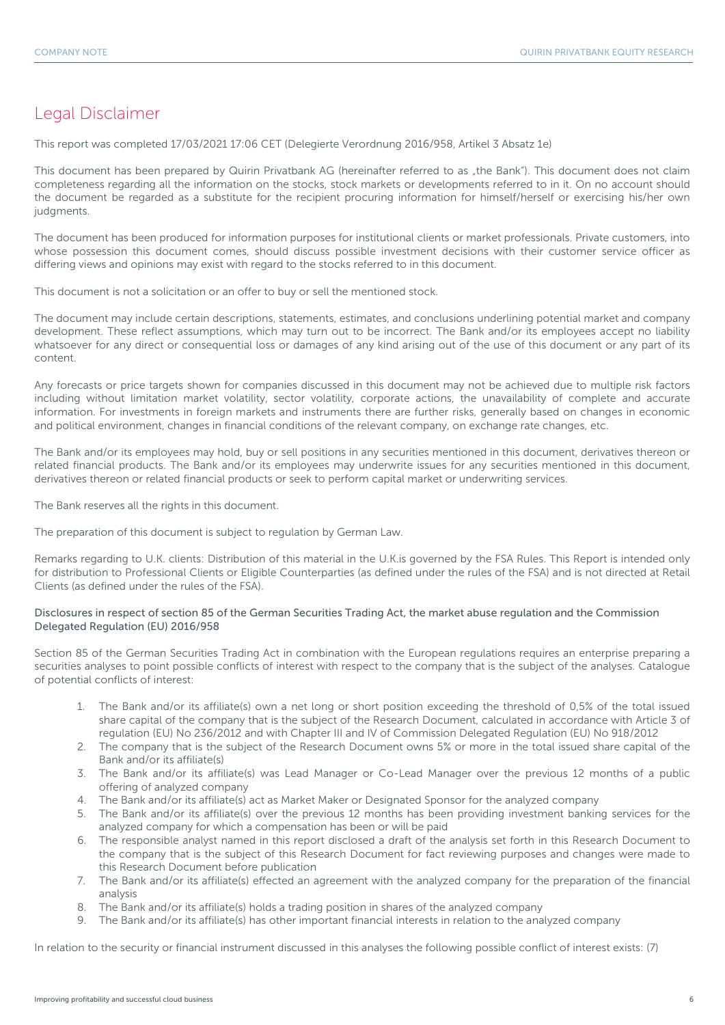## Legal Disclaimer

This report was completed 17/03/2021 17:06 CET (Delegierte Verordnung 2016/958, Artikel 3 Absatz 1e)

This document has been prepared by Quirin Privatbank AG (hereinafter referred to as "the Bank"). This document does not claim completeness regarding all the information on the stocks, stock markets or developments referred to in it. On no account should the document be regarded as a substitute for the recipient procuring information for himself/herself or exercising his/her own judgments.

The document has been produced for information purposes for institutional clients or market professionals. Private customers, into whose possession this document comes, should discuss possible investment decisions with their customer service officer as differing views and opinions may exist with regard to the stocks referred to in this document.

This document is not a solicitation or an offer to buy or sell the mentioned stock.

The document may include certain descriptions, statements, estimates, and conclusions underlining potential market and company development. These reflect assumptions, which may turn out to be incorrect. The Bank and/or its employees accept no liability whatsoever for any direct or consequential loss or damages of any kind arising out of the use of this document or any part of its content.

Any forecasts or price targets shown for companies discussed in this document may not be achieved due to multiple risk factors including without limitation market volatility, sector volatility, corporate actions, the unavailability of complete and accurate information. For investments in foreign markets and instruments there are further risks, generally based on changes in economic and political environment, changes in financial conditions of the relevant company, on exchange rate changes, etc.

The Bank and/or its employees may hold, buy or sell positions in any securities mentioned in this document, derivatives thereon or related financial products. The Bank and/or its employees may underwrite issues for any securities mentioned in this document, derivatives thereon or related financial products or seek to perform capital market or underwriting services.

The Bank reserves all the rights in this document.

The preparation of this document is subject to regulation by German Law.

Remarks regarding to U.K. clients: Distribution of this material in the U.K.is governed by the FSA Rules. This Report is intended only for distribution to Professional Clients or Eligible Counterparties (as defined under the rules of the FSA) and is not directed at Retail Clients (as defined under the rules of the FSA).

## Disclosures in respect of section 85 of the German Securities Trading Act, the market abuse regulation and the Commission Delegated Regulation (EU) 2016/958

Section 85 of the German Securities Trading Act in combination with the European regulations requires an enterprise preparing a securities analyses to point possible conflicts of interest with respect to the company that is the subject of the analyses. Catalogue of potential conflicts of interest:

- 1. The Bank and/or its affiliate(s) own a net long or short position exceeding the threshold of 0,5% of the total issued share capital of the company that is the subject of the Research Document, calculated in accordance with Article 3 of regulation (EU) No 236/2012 and with Chapter III and IV of Commission Delegated Regulation (EU) No 918/2012
- 2. The company that is the subject of the Research Document owns 5% or more in the total issued share capital of the Bank and/or its affiliate(s)
- 3. The Bank and/or its affiliate(s) was Lead Manager or Co-Lead Manager over the previous 12 months of a public offering of analyzed company
- 4. The Bank and/or its affiliate(s) act as Market Maker or Designated Sponsor for the analyzed company
- 5. The Bank and/or its affiliate(s) over the previous 12 months has been providing investment banking services for the analyzed company for which a compensation has been or will be paid
- 6. The responsible analyst named in this report disclosed a draft of the analysis set forth in this Research Document to the company that is the subject of this Research Document for fact reviewing purposes and changes were made to this Research Document before publication
- 7. The Bank and/or its affiliate(s) effected an agreement with the analyzed company for the preparation of the financial analysis
- 8. The Bank and/or its affiliate(s) holds a trading position in shares of the analyzed company
- 9. The Bank and/or its affiliate(s) has other important financial interests in relation to the analyzed company

In relation to the security or financial instrument discussed in this analyses the following possible conflict of interest exists: (7)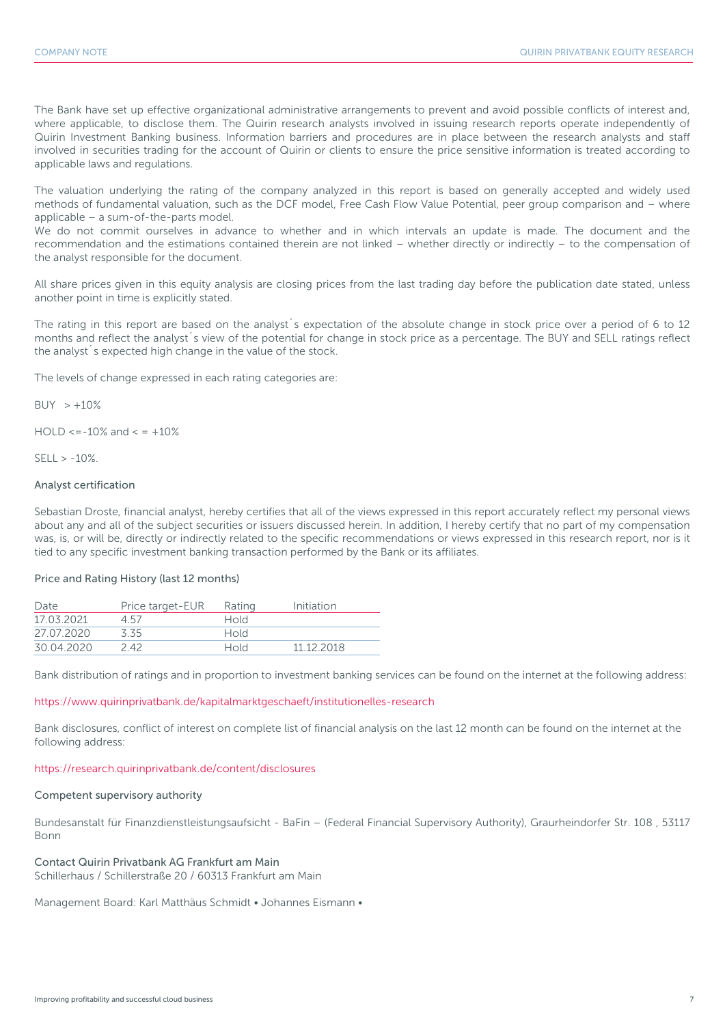The Bank have set up effective organizational administrative arrangements to prevent and avoid possible conflicts of interest and, where applicable, to disclose them. The Quirin research analysts involved in issuing research reports operate independently of Quirin Investment Banking business. Information barriers and procedures are in place between the research analysts and staff involved in securities trading for the account of Quirin or clients to ensure the price sensitive information is treated according to applicable laws and regulations.

The valuation underlying the rating of the company analyzed in this report is based on generally accepted and widely used methods of fundamental valuation, such as the DCF model, Free Cash Flow Value Potential, peer group comparison and – where applicable – a sum-of-the-parts model.

We do not commit ourselves in advance to whether and in which intervals an update is made. The document and the recommendation and the estimations contained therein are not linked – whether directly or indirectly – to the compensation of the analyst responsible for the document.

All share prices given in this equity analysis are closing prices from the last trading day before the publication date stated, unless another point in time is explicitly stated.

The rating in this report are based on the analyst´s expectation of the absolute change in stock price over a period of 6 to 12 months and reflect the analyst´s view of the potential for change in stock price as a percentage. The BUY and SELL ratings reflect the analyst´s expected high change in the value of the stock.

The levels of change expressed in each rating categories are:

 $BUY > +10%$ 

 $HOLD \le -10\%$  and  $\le +10\%$ 

 $SFII > -10%$ 

## Analyst certification

Sebastian Droste, financial analyst, hereby certifies that all of the views expressed in this report accurately reflect my personal views about any and all of the subject securities or issuers discussed herein. In addition, I hereby certify that no part of my compensation was, is, or will be, directly or indirectly related to the specific recommendations or views expressed in this research report, nor is it tied to any specific investment banking transaction performed by the Bank or its affiliates.

## Price and Rating History (last 12 months)

| Date       | Price target-EUR | Rating      | Initiation |
|------------|------------------|-------------|------------|
| 17 03 2021 | 4.57             | Hold        |            |
| 27.07.2020 | 335              | <b>Hold</b> |            |
| 30.04.2020 | 2 42             | Hold        | 11 12 2018 |

Bank distribution of ratings and in proportion to investment banking services can be found on the internet at the following address:

## https://www.quirinprivatbank.de/kapitalmarktgeschaeft/institutionelles-research

Bank disclosures, conflict of interest on complete list of financial analysis on the last 12 month can be found on the internet at the following address:

### https://research.quirinprivatbank.de/content/disclosures

## Competent supervisory authority

Bundesanstalt für Finanzdienstleistungsaufsicht - BaFin – (Federal Financial Supervisory Authority), Graurheindorfer Str. 108 , 53117 Bonn

## Contact Quirin Privatbank AG Frankfurt am Main

Schillerhaus / Schillerstraße 20 / 60313 Frankfurt am Main

Management Board: Karl Matthäus Schmidt • Johannes Eismann •